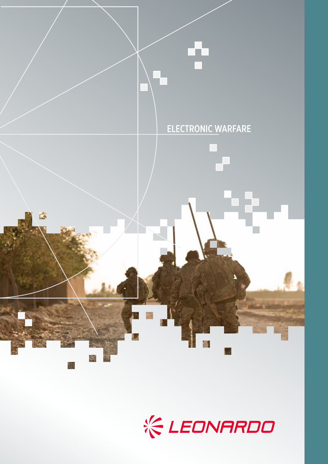

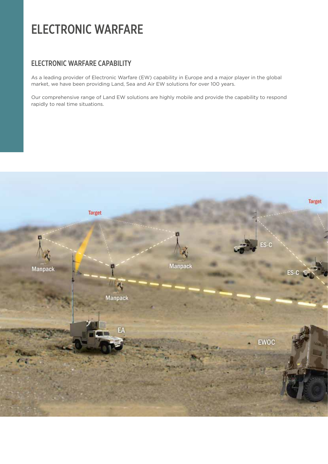# ELECTRONIC WARFARE

#### ELECTRONIC WARFARE CAPABILITY

As a leading provider of Electronic Warfare (EW) capability in Europe and a major player in the global market, we have been providing Land, Sea and Air EW solutions for over 100 years.

Our comprehensive range of Land EW solutions are highly mobile and provide the capability to respond rapidly to real time situations.

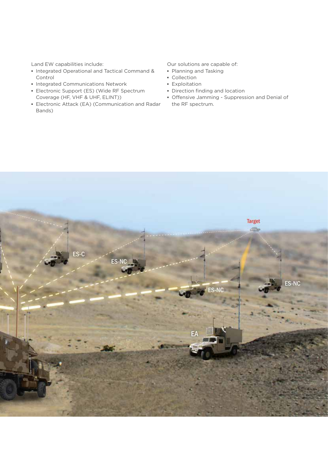Land EW capabilities include:

- **▪** Integrated Operational and Tactical Command & Control
- **▪** Integrated Communications Network
- **▪** Electronic Support (ES) (Wide RF Spectrum Coverage (HF, VHF & UHF, ELINT))
- **▪** Electronic Attack (EA) (Communication and Radar Bands)

Our solutions are capable of:

- **▪** Planning and Tasking
- **▪** Collection
- **▪** Exploitation
- **▪** Direction finding and location
- **▪** Offensive Jamming Suppression and Denial of the RF spectrum.

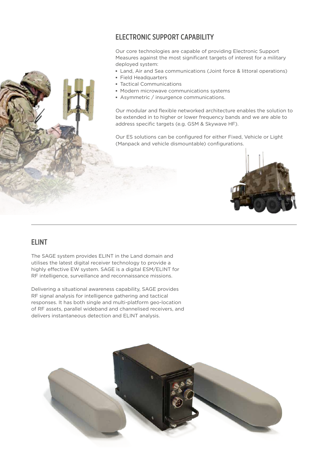#### ELECTRONIC SUPPORT CAPABILITY

Our core technologies are capable of providing Electronic Support Measures against the most significant targets of interest for a military deployed system:

- **▪** Land, Air and Sea communications (Joint force & littoral operations)
- **▪** Field Headquarters
- **▪** Tactical Communications
- **▪** Modern microwave communications systems
- **▪** Asymmetric / insurgence communications.

Our modular and flexible networked architecture enables the solution to be extended in to higher or lower frequency bands and we are able to address specific targets (e.g. GSM & Skywave HF).

Our ES solutions can be configured for either Fixed, Vehicle or Light (Manpack and vehicle dismountable) configurations.



#### **FLINT**

The SAGE system provides ELINT in the Land domain and utilises the latest digital receiver technology to provide a highly effective EW system. SAGE is a digital ESM/ELINT for RF intelligence, surveillance and reconnaissance missions.

Delivering a situational awareness capability, SAGE provides RF signal analysis for intelligence gathering and tactical responses. It has both single and multi-platform geo-location of RF assets, parallel wideband and channelised receivers, and delivers instantaneous detection and ELINT analysis.

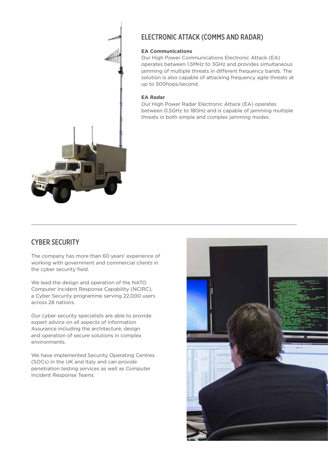

## ELECTRONIC ATTACK (COMMS AND RADAR)

#### **EA Communications**

Our High Power Communications Electronic Attack (EA) operates between 1.5MHz to 3GHz and provides simultaneous jamming of multiple threats in different frequency bands. The solution is also capable of attacking frequency agile threats at up to 500hops/second.

#### **EA Radar**

Our High Power Radar Electronic Attack (EA) operates between 0.5GHz to 18GHz and is capable of jamming multiple threats in both simple and complex jamming modes.

#### CYBER SECURITY

The company has more than 60 years' experience of working with government and commercial clients in the cyber security field.

We lead the design and operation of the NATO Computer Incident Response Capability (NCIRC), a Cyber Security programme serving 22,000 users across 28 nations.

Our cyber security specialists are able to provide expert advice on all aspects of Information Assurance including the architecture, design and operation of secure solutions in complex environments.

We have implemented Security Operating Centres (SOCs) in the UK and Italy and can provide penetration testing services as well as Computer Incident Response Teams.

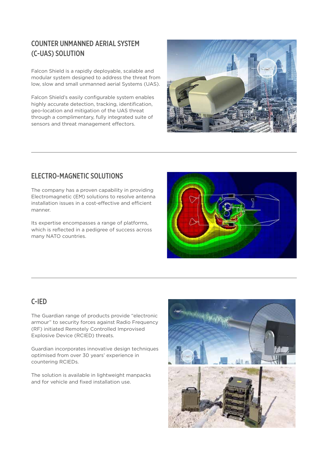## COUNTER UNMANNED AERIAL SYSTEM (C-UAS) SOLUTION

Falcon Shield is a rapidly deployable, scalable and modular system designed to address the threat from low, slow and small unmanned aerial Systems (UAS).

Falcon Shield's easily configurable system enables highly accurate detection, tracking, identification, geo-location and mitigation of the UAS threat through a complimentary, fully integrated suite of sensors and threat management effectors.



#### ELECTRO-MAGNETIC SOLUTIONS

The company has a proven capability in providing Electromagnetic (EM) solutions to resolve antenna installation issues in a cost-effective and efficient manner.

Its expertise encompasses a range of platforms, which is reflected in a pedigree of success across many NATO countries.



### C-IED

The Guardian range of products provide "electronic armour" to security forces against Radio Frequency (RF) initiated Remotely Controlled Improvised Explosive Device (RCIED) threats.

Guardian incorporates innovative design techniques optimised from over 30 years' experience in countering RCIEDs.

The solution is available in lightweight manpacks and for vehicle and fixed installation use.

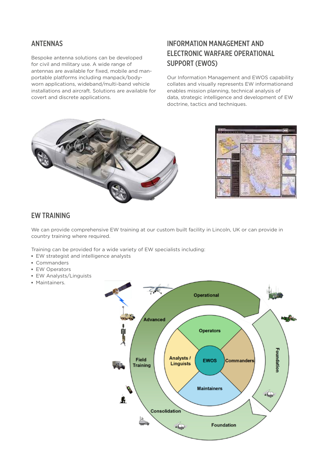#### ANTENNAS

Bespoke antenna solutions can be developed for civil and military use. A wide range of antennas are available for fixed, mobile and manportable platforms including manpack/bodyworn applications, wideband/multi-band vehicle installations and aircraft. Solutions are available for covert and discrete applications.

# INFORMATION MANAGEMENT AND ELECTRONIC WARFARE OPERATIONAL SUPPORT (EWOS)

Our Information Management and EWOS capability collates and visually represents EW informationand enables mission planning, technical analysis of data, strategic intelligence and development of EW doctrine, tactics and techniques.





#### EW TRAINING

We can provide comprehensive EW training at our custom built facility in Lincoln, UK or can provide in country training where required.

Training can be provided for a wide variety of EW specialists including:

- **▪** EW strategist and intelligence analysts
- **▪** Commanders
- **▪** EW Operators
- **▪** EW Analysts/Linguists
- **▪** Maintainers.